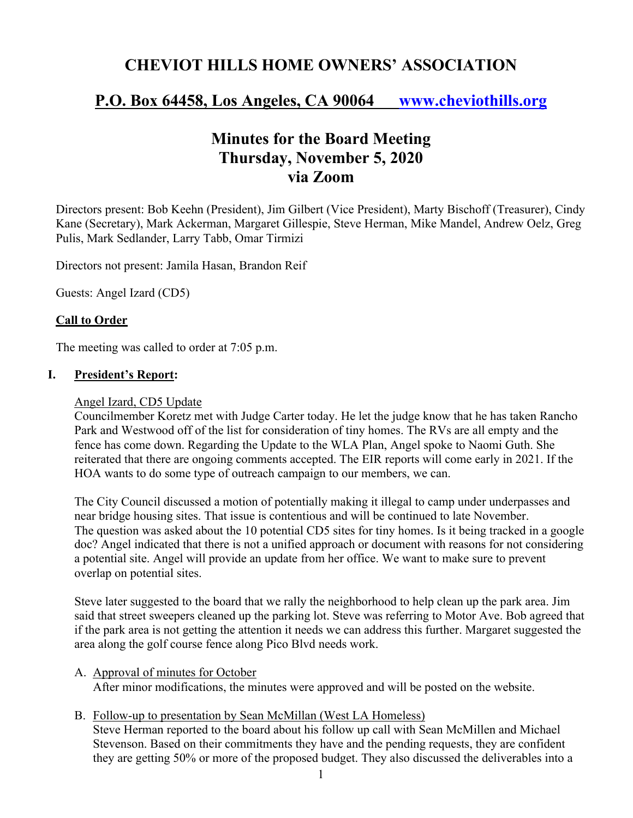# **CHEVIOT HILLS HOME OWNERS' ASSOCIATION**

## **P.O. Box 64458, Los Angeles, CA 90064 www.cheviothills.org**

## **Minutes for the Board Meeting Thursday, November 5, 2020 via Zoom**

Directors present: Bob Keehn (President), Jim Gilbert (Vice President), Marty Bischoff (Treasurer), Cindy Kane (Secretary), Mark Ackerman, Margaret Gillespie, Steve Herman, Mike Mandel, Andrew Oelz, Greg Pulis, Mark Sedlander, Larry Tabb, Omar Tirmizi

Directors not present: Jamila Hasan, Brandon Reif

Guests: Angel Izard (CD5)

## **Call to Order**

The meeting was called to order at 7:05 p.m.

## **I. President's Report:**

#### Angel Izard, CD5 Update

Councilmember Koretz met with Judge Carter today. He let the judge know that he has taken Rancho Park and Westwood off of the list for consideration of tiny homes. The RVs are all empty and the fence has come down. Regarding the Update to the WLA Plan, Angel spoke to Naomi Guth. She reiterated that there are ongoing comments accepted. The EIR reports will come early in 2021. If the HOA wants to do some type of outreach campaign to our members, we can.

The City Council discussed a motion of potentially making it illegal to camp under underpasses and near bridge housing sites. That issue is contentious and will be continued to late November. The question was asked about the 10 potential CD5 sites for tiny homes. Is it being tracked in a google doc? Angel indicated that there is not a unified approach or document with reasons for not considering a potential site. Angel will provide an update from her office. We want to make sure to prevent overlap on potential sites.

Steve later suggested to the board that we rally the neighborhood to help clean up the park area. Jim said that street sweepers cleaned up the parking lot. Steve was referring to Motor Ave. Bob agreed that if the park area is not getting the attention it needs we can address this further. Margaret suggested the area along the golf course fence along Pico Blvd needs work.

#### A. Approval of minutes for October

After minor modifications, the minutes were approved and will be posted on the website.

## B. Follow-up to presentation by Sean McMillan (West LA Homeless)

Steve Herman reported to the board about his follow up call with Sean McMillen and Michael Stevenson. Based on their commitments they have and the pending requests, they are confident they are getting 50% or more of the proposed budget. They also discussed the deliverables into a